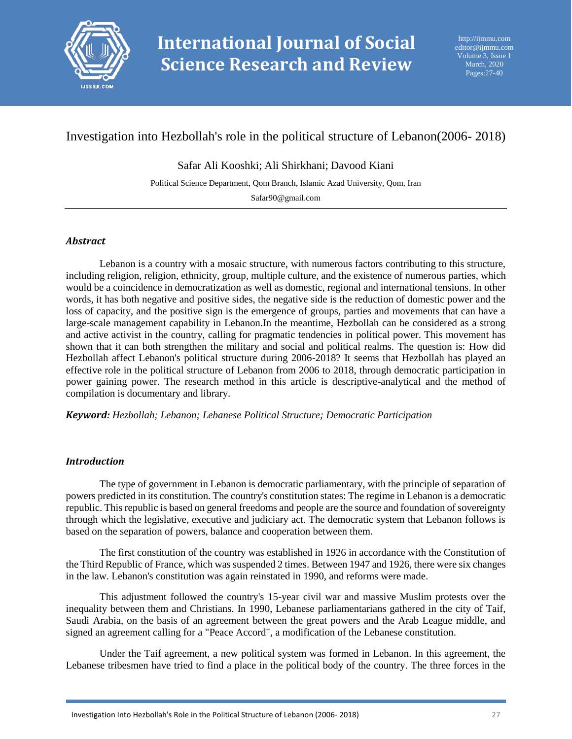

# Investigation into Hezbollah's role in the political structure of Lebanon(2006- 2018)

Safar Ali Kooshki; Ali Shirkhani; Davood Kiani

Political Science Department, Qom Branch, Islamic Azad University, Qom, Iran

Safar90@gmail.com

### *Abstract*

Lebanon is a country with a mosaic structure, with numerous factors contributing to this structure, including religion, religion, ethnicity, group, multiple culture, and the existence of numerous parties, which would be a coincidence in democratization as well as domestic, regional and international tensions. In other words, it has both negative and positive sides, the negative side is the reduction of domestic power and the loss of capacity, and the positive sign is the emergence of groups, parties and movements that can have a large-scale management capability in Lebanon.In the meantime, Hezbollah can be considered as a strong and active activist in the country, calling for pragmatic tendencies in political power. This movement has shown that it can both strengthen the military and social and political realms. The question is: How did Hezbollah affect Lebanon's political structure during 2006-2018? It seems that Hezbollah has played an effective role in the political structure of Lebanon from 2006 to 2018, through democratic participation in power gaining power. The research method in this article is descriptive-analytical and the method of compilation is documentary and library.

*Keyword: Hezbollah; Lebanon; Lebanese Political Structure; Democratic Participation*

### *Introduction*

The type of government in Lebanon is democratic parliamentary, with the principle of separation of powers predicted in its constitution. The country's constitution states: The regime in Lebanon is a democratic republic. This republic is based on general freedoms and people are the source and foundation of sovereignty through which the legislative, executive and judiciary act. The democratic system that Lebanon follows is based on the separation of powers, balance and cooperation between them.

The first constitution of the country was established in 1926 in accordance with the Constitution of the Third Republic of France, which was suspended 2 times. Between 1947 and 1926, there were six changes in the law. Lebanon's constitution was again reinstated in 1990, and reforms were made.

This adjustment followed the country's 15-year civil war and massive Muslim protests over the inequality between them and Christians. In 1990, Lebanese parliamentarians gathered in the city of Taif, Saudi Arabia, on the basis of an agreement between the great powers and the Arab League middle, and signed an agreement calling for a "Peace Accord", a modification of the Lebanese constitution.

Under the Taif agreement, a new political system was formed in Lebanon. In this agreement, the Lebanese tribesmen have tried to find a place in the political body of the country. The three forces in the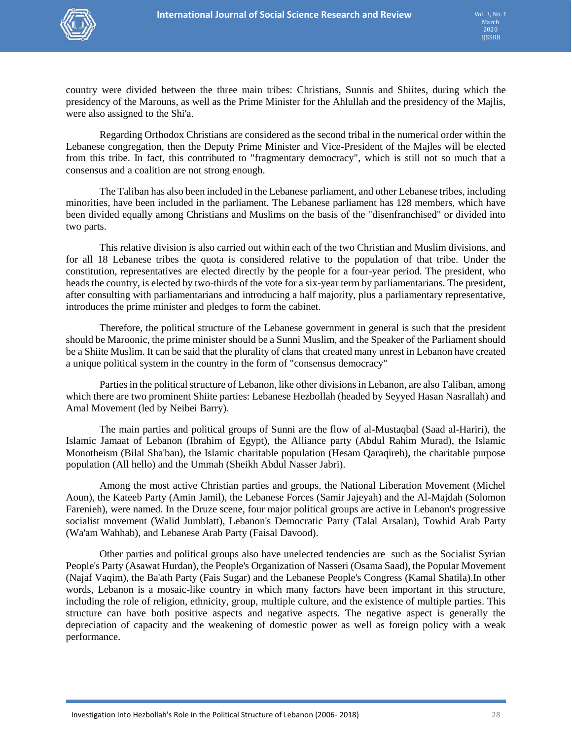

country were divided between the three main tribes: Christians, Sunnis and Shiites, during which the presidency of the Marouns, as well as the Prime Minister for the Ahlullah and the presidency of the Majlis, were also assigned to the Shi'a.

Regarding Orthodox Christians are considered as the second tribal in the numerical order within the Lebanese congregation, then the Deputy Prime Minister and Vice-President of the Majles will be elected from this tribe. In fact, this contributed to "fragmentary democracy", which is still not so much that a consensus and a coalition are not strong enough.

The Taliban has also been included in the Lebanese parliament, and other Lebanese tribes, including minorities, have been included in the parliament. The Lebanese parliament has 128 members, which have been divided equally among Christians and Muslims on the basis of the "disenfranchised" or divided into two parts.

This relative division is also carried out within each of the two Christian and Muslim divisions, and for all 18 Lebanese tribes the quota is considered relative to the population of that tribe. Under the constitution, representatives are elected directly by the people for a four-year period. The president, who heads the country, is elected by two-thirds of the vote for a six-year term by parliamentarians. The president, after consulting with parliamentarians and introducing a half majority, plus a parliamentary representative, introduces the prime minister and pledges to form the cabinet.

Therefore, the political structure of the Lebanese government in general is such that the president should be Maroonic, the prime minister should be a Sunni Muslim, and the Speaker of the Parliament should be a Shiite Muslim. It can be said that the plurality of clans that created many unrest in Lebanon have created a unique political system in the country in the form of "consensus democracy"

Parties in the political structure of Lebanon, like other divisions in Lebanon, are also Taliban, among which there are two prominent Shiite parties: Lebanese Hezbollah (headed by Seyyed Hasan Nasrallah) and Amal Movement (led by Neibei Barry).

The main parties and political groups of Sunni are the flow of al-Mustaqbal (Saad al-Hariri), the Islamic Jamaat of Lebanon (Ibrahim of Egypt), the Alliance party (Abdul Rahim Murad), the Islamic Monotheism (Bilal Sha'ban), the Islamic charitable population (Hesam Qaraqireh), the charitable purpose population (All hello) and the Ummah (Sheikh Abdul Nasser Jabri).

Among the most active Christian parties and groups, the National Liberation Movement (Michel Aoun), the Kateeb Party (Amin Jamil), the Lebanese Forces (Samir Jajeyah) and the Al-Majdah (Solomon Farenieh), were named. In the Druze scene, four major political groups are active in Lebanon's progressive socialist movement (Walid Jumblatt), Lebanon's Democratic Party (Talal Arsalan), Towhid Arab Party (Wa'am Wahhab), and Lebanese Arab Party (Faisal Davood).

Other parties and political groups also have unelected tendencies are such as the Socialist Syrian People's Party (Asawat Hurdan), the People's Organization of Nasseri (Osama Saad), the Popular Movement (Najaf Vaqim), the Ba'ath Party (Fais Sugar) and the Lebanese People's Congress (Kamal Shatila).In other words, Lebanon is a mosaic-like country in which many factors have been important in this structure, including the role of religion, ethnicity, group, multiple culture, and the existence of multiple parties. This structure can have both positive aspects and negative aspects. The negative aspect is generally the depreciation of capacity and the weakening of domestic power as well as foreign policy with a weak performance.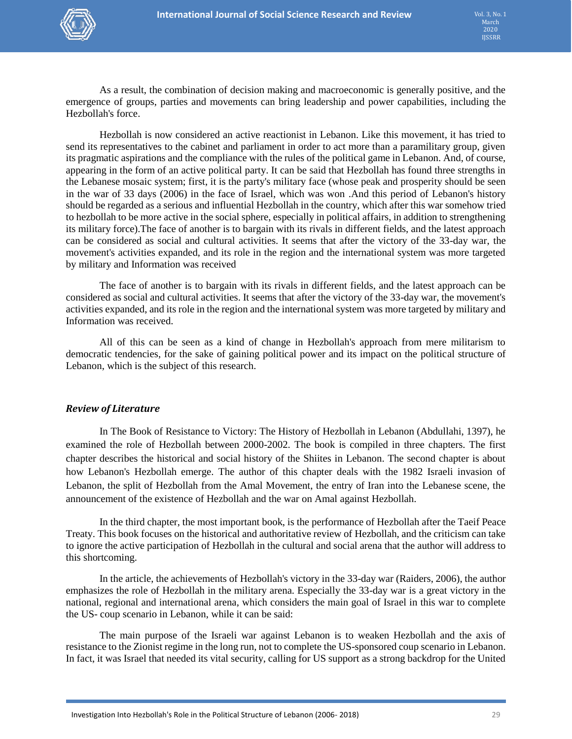

As a result, the combination of decision making and macroeconomic is generally positive, and the emergence of groups, parties and movements can bring leadership and power capabilities, including the Hezbollah's force.

Hezbollah is now considered an active reactionist in Lebanon. Like this movement, it has tried to send its representatives to the cabinet and parliament in order to act more than a paramilitary group, given its pragmatic aspirations and the compliance with the rules of the political game in Lebanon. And, of course, appearing in the form of an active political party. It can be said that Hezbollah has found three strengths in the Lebanese mosaic system; first, it is the party's military face (whose peak and prosperity should be seen in the war of 33 days (2006) in the face of Israel, which was won .And this period of Lebanon's history should be regarded as a serious and influential Hezbollah in the country, which after this war somehow tried to hezbollah to be more active in the social sphere, especially in political affairs, in addition to strengthening its military force).The face of another is to bargain with its rivals in different fields, and the latest approach can be considered as social and cultural activities. It seems that after the victory of the 33-day war, the movement's activities expanded, and its role in the region and the international system was more targeted by military and Information was received

The face of another is to bargain with its rivals in different fields, and the latest approach can be considered as social and cultural activities. It seems that after the victory of the 33-day war, the movement's activities expanded, and its role in the region and the international system was more targeted by military and Information was received.

All of this can be seen as a kind of change in Hezbollah's approach from mere militarism to democratic tendencies, for the sake of gaining political power and its impact on the political structure of Lebanon, which is the subject of this research.

### *Review of Literature*

In The Book of Resistance to Victory: The History of Hezbollah in Lebanon (Abdullahi, 1397), he examined the role of Hezbollah between 2000-2002. The book is compiled in three chapters. The first chapter describes the historical and social history of the Shiites in Lebanon. The second chapter is about how Lebanon's Hezbollah emerge. The author of this chapter deals with the 1982 Israeli invasion of Lebanon, the split of Hezbollah from the Amal Movement, the entry of Iran into the Lebanese scene, the announcement of the existence of Hezbollah and the war on Amal against Hezbollah.

In the third chapter, the most important book, is the performance of Hezbollah after the Taeif Peace Treaty. This book focuses on the historical and authoritative review of Hezbollah, and the criticism can take to ignore the active participation of Hezbollah in the cultural and social arena that the author will address to this shortcoming.

In the article, the achievements of Hezbollah's victory in the 33-day war (Raiders, 2006), the author emphasizes the role of Hezbollah in the military arena. Especially the 33-day war is a great victory in the national, regional and international arena, which considers the main goal of Israel in this war to complete the US- coup scenario in Lebanon, while it can be said:

The main purpose of the Israeli war against Lebanon is to weaken Hezbollah and the axis of resistance to the Zionist regime in the long run, not to complete the US-sponsored coup scenario in Lebanon. In fact, it was Israel that needed its vital security, calling for US support as a strong backdrop for the United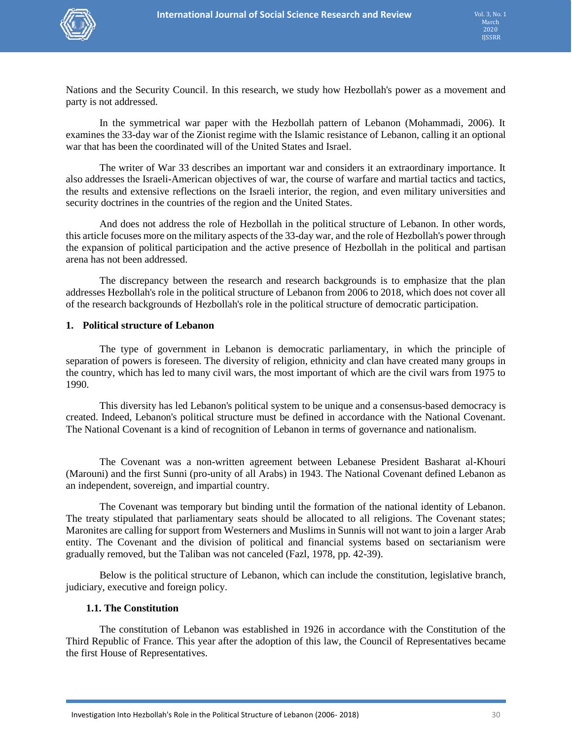

Nations and the Security Council. In this research, we study how Hezbollah's power as a movement and party is not addressed.

In the symmetrical war paper with the Hezbollah pattern of Lebanon (Mohammadi, 2006). It examines the 33-day war of the Zionist regime with the Islamic resistance of Lebanon, calling it an optional war that has been the coordinated will of the United States and Israel.

The writer of War 33 describes an important war and considers it an extraordinary importance. It also addresses the Israeli-American objectives of war, the course of warfare and martial tactics and tactics, the results and extensive reflections on the Israeli interior, the region, and even military universities and security doctrines in the countries of the region and the United States.

And does not address the role of Hezbollah in the political structure of Lebanon. In other words, this article focuses more on the military aspects of the 33-day war, and the role of Hezbollah's power through the expansion of political participation and the active presence of Hezbollah in the political and partisan arena has not been addressed.

The discrepancy between the research and research backgrounds is to emphasize that the plan addresses Hezbollah's role in the political structure of Lebanon from 2006 to 2018, which does not cover all of the research backgrounds of Hezbollah's role in the political structure of democratic participation.

#### **1. Political structure of Lebanon**

The type of government in Lebanon is democratic parliamentary, in which the principle of separation of powers is foreseen. The diversity of religion, ethnicity and clan have created many groups in the country, which has led to many civil wars, the most important of which are the civil wars from 1975 to 1990.

This diversity has led Lebanon's political system to be unique and a consensus-based democracy is created. Indeed, Lebanon's political structure must be defined in accordance with the National Covenant. The National Covenant is a kind of recognition of Lebanon in terms of governance and nationalism.

The Covenant was a non-written agreement between Lebanese President Basharat al-Khouri (Marouni) and the first Sunni (pro-unity of all Arabs) in 1943. The National Covenant defined Lebanon as an independent, sovereign, and impartial country.

The Covenant was temporary but binding until the formation of the national identity of Lebanon. The treaty stipulated that parliamentary seats should be allocated to all religions. The Covenant states; Maronites are calling for support from Westerners and Muslims in Sunnis will not want to join a larger Arab entity. The Covenant and the division of political and financial systems based on sectarianism were gradually removed, but the Taliban was not canceled (Fazl, 1978, pp. 42-39).

Below is the political structure of Lebanon, which can include the constitution, legislative branch, judiciary, executive and foreign policy.

### **1.1. The Constitution**

The constitution of Lebanon was established in 1926 in accordance with the Constitution of the Third Republic of France. This year after the adoption of this law, the Council of Representatives became the first House of Representatives.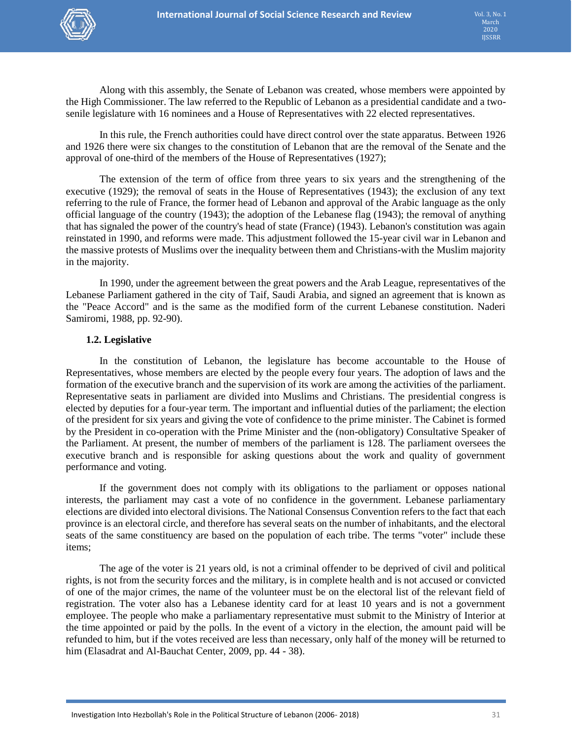

Along with this assembly, the Senate of Lebanon was created, whose members were appointed by the High Commissioner. The law referred to the Republic of Lebanon as a presidential candidate and a twosenile legislature with 16 nominees and a House of Representatives with 22 elected representatives.

In this rule, the French authorities could have direct control over the state apparatus. Between 1926 and 1926 there were six changes to the constitution of Lebanon that are the removal of the Senate and the approval of one-third of the members of the House of Representatives (1927);

The extension of the term of office from three years to six years and the strengthening of the executive (1929); the removal of seats in the House of Representatives (1943); the exclusion of any text referring to the rule of France, the former head of Lebanon and approval of the Arabic language as the only official language of the country (1943); the adoption of the Lebanese flag (1943); the removal of anything that has signaled the power of the country's head of state (France) (1943). Lebanon's constitution was again reinstated in 1990, and reforms were made. This adjustment followed the 15-year civil war in Lebanon and the massive protests of Muslims over the inequality between them and Christians-with the Muslim majority in the majority.

In 1990, under the agreement between the great powers and the Arab League, representatives of the Lebanese Parliament gathered in the city of Taif, Saudi Arabia, and signed an agreement that is known as the "Peace Accord" and is the same as the modified form of the current Lebanese constitution. Naderi Samiromi, 1988, pp. 92-90).

#### **1.2. Legislative**

In the constitution of Lebanon, the legislature has become accountable to the House of Representatives, whose members are elected by the people every four years. The adoption of laws and the formation of the executive branch and the supervision of its work are among the activities of the parliament. Representative seats in parliament are divided into Muslims and Christians. The presidential congress is elected by deputies for a four-year term. The important and influential duties of the parliament; the election of the president for six years and giving the vote of confidence to the prime minister. The Cabinet is formed by the President in co-operation with the Prime Minister and the (non-obligatory) Consultative Speaker of the Parliament. At present, the number of members of the parliament is 128. The parliament oversees the executive branch and is responsible for asking questions about the work and quality of government performance and voting.

If the government does not comply with its obligations to the parliament or opposes national interests, the parliament may cast a vote of no confidence in the government. Lebanese parliamentary elections are divided into electoral divisions. The National Consensus Convention refers to the fact that each province is an electoral circle, and therefore has several seats on the number of inhabitants, and the electoral seats of the same constituency are based on the population of each tribe. The terms "voter" include these items;

The age of the voter is 21 years old, is not a criminal offender to be deprived of civil and political rights, is not from the security forces and the military, is in complete health and is not accused or convicted of one of the major crimes, the name of the volunteer must be on the electoral list of the relevant field of registration. The voter also has a Lebanese identity card for at least 10 years and is not a government employee. The people who make a parliamentary representative must submit to the Ministry of Interior at the time appointed or paid by the polls. In the event of a victory in the election, the amount paid will be refunded to him, but if the votes received are less than necessary, only half of the money will be returned to him (Elasadrat and Al-Bauchat Center, 2009, pp. 44 - 38).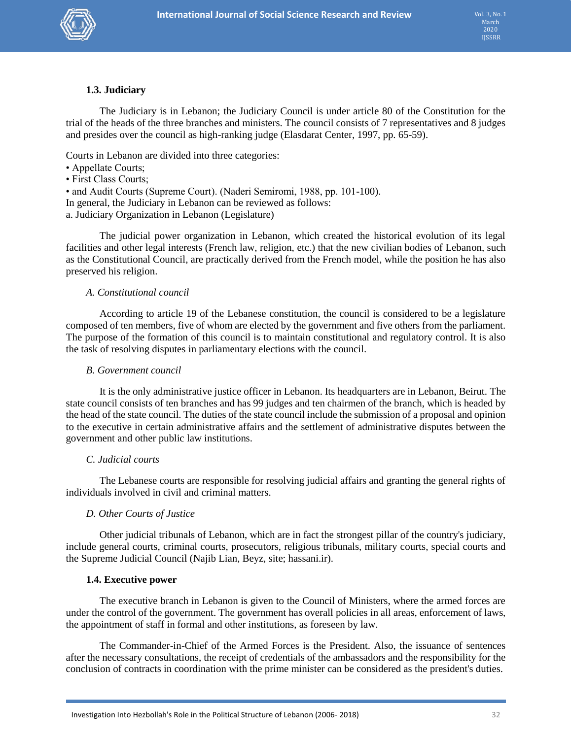

### **1.3. Judiciary**

The Judiciary is in Lebanon; the Judiciary Council is under article 80 of the Constitution for the trial of the heads of the three branches and ministers. The council consists of 7 representatives and 8 judges and presides over the council as high-ranking judge (Elasdarat Center, 1997, pp. 65-59).

Courts in Lebanon are divided into three categories:

- Appellate Courts;
- First Class Courts;

• and Audit Courts (Supreme Court). (Naderi Semiromi, 1988, pp. 101-100).

In general, the Judiciary in Lebanon can be reviewed as follows:

a. Judiciary Organization in Lebanon (Legislature)

The judicial power organization in Lebanon, which created the historical evolution of its legal facilities and other legal interests (French law, religion, etc.) that the new civilian bodies of Lebanon, such as the Constitutional Council, are practically derived from the French model, while the position he has also preserved his religion.

#### *A. Constitutional council*

According to article 19 of the Lebanese constitution, the council is considered to be a legislature composed of ten members, five of whom are elected by the government and five others from the parliament. The purpose of the formation of this council is to maintain constitutional and regulatory control. It is also the task of resolving disputes in parliamentary elections with the council.

#### *B. Government council*

It is the only administrative justice officer in Lebanon. Its headquarters are in Lebanon, Beirut. The state council consists of ten branches and has 99 judges and ten chairmen of the branch, which is headed by the head of the state council. The duties of the state council include the submission of a proposal and opinion to the executive in certain administrative affairs and the settlement of administrative disputes between the government and other public law institutions.

#### *C. Judicial courts*

The Lebanese courts are responsible for resolving judicial affairs and granting the general rights of individuals involved in civil and criminal matters.

### *D. Other Courts of Justice*

Other judicial tribunals of Lebanon, which are in fact the strongest pillar of the country's judiciary, include general courts, criminal courts, prosecutors, religious tribunals, military courts, special courts and the Supreme Judicial Council (Najib Lian, Beyz, site; hassani.ir).

#### **1.4. Executive power**

The executive branch in Lebanon is given to the Council of Ministers, where the armed forces are under the control of the government. The government has overall policies in all areas, enforcement of laws, the appointment of staff in formal and other institutions, as foreseen by law.

The Commander-in-Chief of the Armed Forces is the President. Also, the issuance of sentences after the necessary consultations, the receipt of credentials of the ambassadors and the responsibility for the conclusion of contracts in coordination with the prime minister can be considered as the president's duties.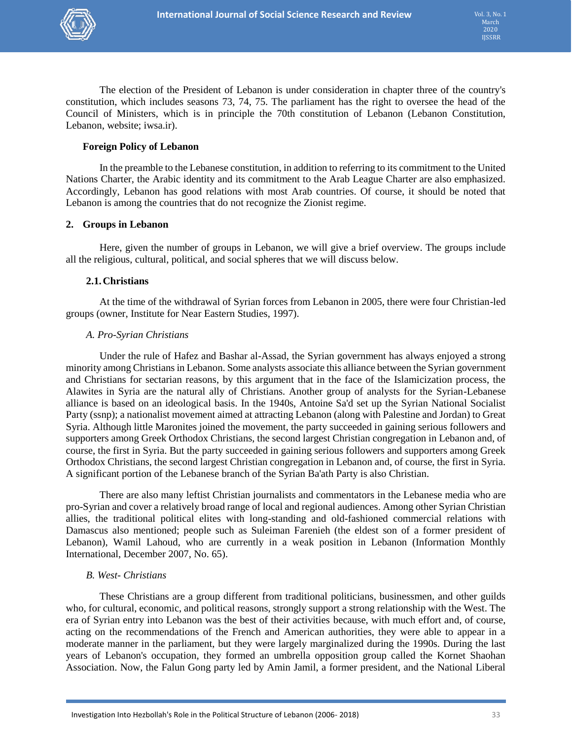

The election of the President of Lebanon is under consideration in chapter three of the country's constitution, which includes seasons 73, 74, 75. The parliament has the right to oversee the head of the Council of Ministers, which is in principle the 70th constitution of Lebanon (Lebanon Constitution, Lebanon, website; iwsa.ir).

### **Foreign Policy of Lebanon**

In the preamble to the Lebanese constitution, in addition to referring to its commitment to the United Nations Charter, the Arabic identity and its commitment to the Arab League Charter are also emphasized. Accordingly, Lebanon has good relations with most Arab countries. Of course, it should be noted that Lebanon is among the countries that do not recognize the Zionist regime.

### **2. Groups in Lebanon**

Here, given the number of groups in Lebanon, we will give a brief overview. The groups include all the religious, cultural, political, and social spheres that we will discuss below.

### **2.1.Christians**

At the time of the withdrawal of Syrian forces from Lebanon in 2005, there were four Christian-led groups (owner, Institute for Near Eastern Studies, 1997).

### *A. Pro-Syrian Christians*

Under the rule of Hafez and Bashar al-Assad, the Syrian government has always enjoyed a strong minority among Christians in Lebanon. Some analysts associate this alliance between the Syrian government and Christians for sectarian reasons, by this argument that in the face of the Islamicization process, the Alawites in Syria are the natural ally of Christians. Another group of analysts for the Syrian-Lebanese alliance is based on an ideological basis. In the 1940s, Antoine Sa'd set up the Syrian National Socialist Party (ssnp); a nationalist movement aimed at attracting Lebanon (along with Palestine and Jordan) to Great Syria. Although little Maronites joined the movement, the party succeeded in gaining serious followers and supporters among Greek Orthodox Christians, the second largest Christian congregation in Lebanon and, of course, the first in Syria. But the party succeeded in gaining serious followers and supporters among Greek Orthodox Christians, the second largest Christian congregation in Lebanon and, of course, the first in Syria. A significant portion of the Lebanese branch of the Syrian Ba'ath Party is also Christian.

There are also many leftist Christian journalists and commentators in the Lebanese media who are pro-Syrian and cover a relatively broad range of local and regional audiences. Among other Syrian Christian allies, the traditional political elites with long-standing and old-fashioned commercial relations with Damascus also mentioned; people such as Suleiman Farenieh (the eldest son of a former president of Lebanon), Wamil Lahoud, who are currently in a weak position in Lebanon (Information Monthly International, December 2007, No. 65).

### *B. West- Christians*

These Christians are a group different from traditional politicians, businessmen, and other guilds who, for cultural, economic, and political reasons, strongly support a strong relationship with the West. The era of Syrian entry into Lebanon was the best of their activities because, with much effort and, of course, acting on the recommendations of the French and American authorities, they were able to appear in a moderate manner in the parliament, but they were largely marginalized during the 1990s. During the last years of Lebanon's occupation, they formed an umbrella opposition group called the Kornet Shaohan Association. Now, the Falun Gong party led by Amin Jamil, a former president, and the National Liberal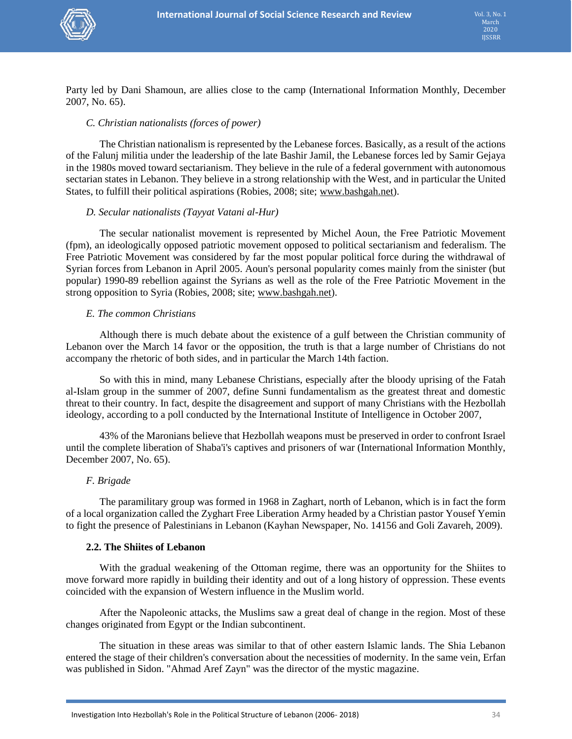

Party led by Dani Shamoun, are allies close to the camp (International Information Monthly, December 2007, No. 65).

### *C. Christian nationalists (forces of power)*

The Christian nationalism is represented by the Lebanese forces. Basically, as a result of the actions of the Falunj militia under the leadership of the late Bashir Jamil, the Lebanese forces led by Samir Gejaya in the 1980s moved toward sectarianism. They believe in the rule of a federal government with autonomous sectarian states in Lebanon. They believe in a strong relationship with the West, and in particular the United States, to fulfill their political aspirations (Robies, 2008; site; [www.bashgah.net\)](http://www.bashgah.net/).

### *D. Secular nationalists (Tayyat Vatani al-Hur)*

The secular nationalist movement is represented by Michel Aoun, the Free Patriotic Movement (fpm), an ideologically opposed patriotic movement opposed to political sectarianism and federalism. The Free Patriotic Movement was considered by far the most popular political force during the withdrawal of Syrian forces from Lebanon in April 2005. Aoun's personal popularity comes mainly from the sinister (but popular) 1990-89 rebellion against the Syrians as well as the role of the Free Patriotic Movement in the strong opposition to Syria (Robies, 2008; site; [www.bashgah.net\)](http://www.bashgah.net/).

#### *E. The common Christians*

Although there is much debate about the existence of a gulf between the Christian community of Lebanon over the March 14 favor or the opposition, the truth is that a large number of Christians do not accompany the rhetoric of both sides, and in particular the March 14th faction.

So with this in mind, many Lebanese Christians, especially after the bloody uprising of the Fatah al-Islam group in the summer of 2007, define Sunni fundamentalism as the greatest threat and domestic threat to their country. In fact, despite the disagreement and support of many Christians with the Hezbollah ideology, according to a poll conducted by the International Institute of Intelligence in October 2007,

43% of the Maronians believe that Hezbollah weapons must be preserved in order to confront Israel until the complete liberation of Shaba'i's captives and prisoners of war (International Information Monthly, December 2007, No. 65).

### *F. Brigade*

The paramilitary group was formed in 1968 in Zaghart, north of Lebanon, which is in fact the form of a local organization called the Zyghart Free Liberation Army headed by a Christian pastor Yousef Yemin to fight the presence of Palestinians in Lebanon (Kayhan Newspaper, No. 14156 and Goli Zavareh, 2009).

### **2.2. The Shiites of Lebanon**

With the gradual weakening of the Ottoman regime, there was an opportunity for the Shiites to move forward more rapidly in building their identity and out of a long history of oppression. These events coincided with the expansion of Western influence in the Muslim world.

After the Napoleonic attacks, the Muslims saw a great deal of change in the region. Most of these changes originated from Egypt or the Indian subcontinent.

The situation in these areas was similar to that of other eastern Islamic lands. The Shia Lebanon entered the stage of their children's conversation about the necessities of modernity. In the same vein, Erfan was published in Sidon. "Ahmad Aref Zayn" was the director of the mystic magazine.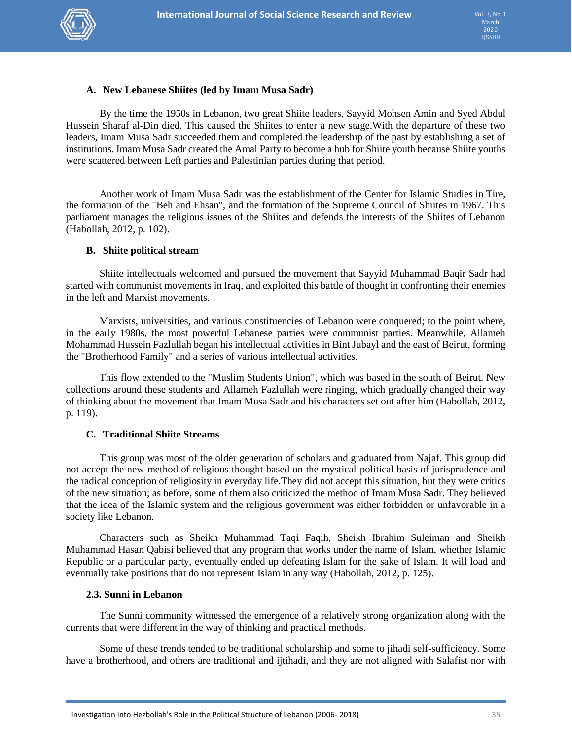

### **A. New Lebanese Shiites (led by Imam Musa Sadr)**

By the time the 1950s in Lebanon, two great Shiite leaders, Sayyid Mohsen Amin and Syed Abdul Hussein Sharaf al-Din died. This caused the Shiites to enter a new stage.With the departure of these two leaders, Imam Musa Sadr succeeded them and completed the leadership of the past by establishing a set of institutions. Imam Musa Sadr created the Amal Party to become a hub for Shiite youth because Shiite youths were scattered between Left parties and Palestinian parties during that period.

Another work of Imam Musa Sadr was the establishment of the Center for Islamic Studies in Tire, the formation of the "Beh and Ehsan", and the formation of the Supreme Council of Shiites in 1967. This parliament manages the religious issues of the Shiites and defends the interests of the Shiites of Lebanon (Habollah, 2012, p. 102).

#### **B. Shiite political stream**

Shiite intellectuals welcomed and pursued the movement that Sayyid Muhammad Baqir Sadr had started with communist movements in Iraq, and exploited this battle of thought in confronting their enemies in the left and Marxist movements.

Marxists, universities, and various constituencies of Lebanon were conquered; to the point where, in the early 1980s, the most powerful Lebanese parties were communist parties. Meanwhile, Allameh Mohammad Hussein Fazlullah began his intellectual activities in Bint Jubayl and the east of Beirut, forming the "Brotherhood Family" and a series of various intellectual activities.

This flow extended to the "Muslim Students Union", which was based in the south of Beirut. New collections around these students and Allameh Fazlullah were ringing, which gradually changed their way of thinking about the movement that Imam Musa Sadr and his characters set out after him (Habollah, 2012, p. 119).

### **C. Traditional Shiite Streams**

This group was most of the older generation of scholars and graduated from Najaf. This group did not accept the new method of religious thought based on the mystical-political basis of jurisprudence and the radical conception of religiosity in everyday life.They did not accept this situation, but they were critics of the new situation; as before, some of them also criticized the method of Imam Musa Sadr. They believed that the idea of the Islamic system and the religious government was either forbidden or unfavorable in a society like Lebanon.

Characters such as Sheikh Muhammad Taqi Faqih, Sheikh Ibrahim Suleiman and Sheikh Muhammad Hasan Qabisi believed that any program that works under the name of Islam, whether Islamic Republic or a particular party, eventually ended up defeating Islam for the sake of Islam. It will load and eventually take positions that do not represent Islam in any way (Habollah, 2012, p. 125).

### **2.3. Sunni in Lebanon**

The Sunni community witnessed the emergence of a relatively strong organization along with the currents that were different in the way of thinking and practical methods.

Some of these trends tended to be traditional scholarship and some to jihadi self-sufficiency. Some have a brotherhood, and others are traditional and ijtihadi, and they are not aligned with Salafist nor with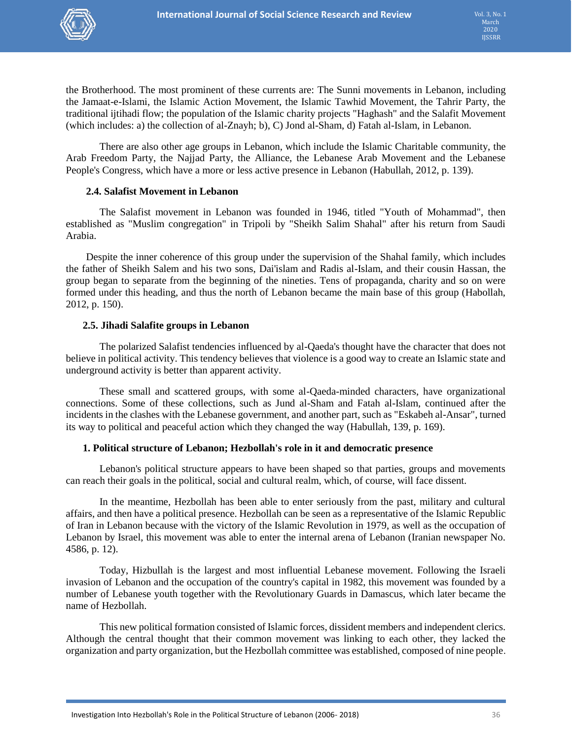

the Brotherhood. The most prominent of these currents are: The Sunni movements in Lebanon, including the Jamaat-e-Islami, the Islamic Action Movement, the Islamic Tawhid Movement, the Tahrir Party, the traditional ijtihadi flow; the population of the Islamic charity projects "Haghash" and the Salafit Movement (which includes: a) the collection of al-Znayh; b), C) Jond al-Sham, d) Fatah al-Islam, in Lebanon.

There are also other age groups in Lebanon, which include the Islamic Charitable community, the Arab Freedom Party, the Najjad Party, the Alliance, the Lebanese Arab Movement and the Lebanese People's Congress, which have a more or less active presence in Lebanon (Habullah, 2012, p. 139).

### **2.4. Salafist Movement in Lebanon**

The Salafist movement in Lebanon was founded in 1946, titled "Youth of Mohammad", then established as "Muslim congregation" in Tripoli by "Sheikh Salim Shahal" after his return from Saudi Arabia.

Despite the inner coherence of this group under the supervision of the Shahal family, which includes the father of Sheikh Salem and his two sons, Dai'islam and Radis al-Islam, and their cousin Hassan, the group began to separate from the beginning of the nineties. Tens of propaganda, charity and so on were formed under this heading, and thus the north of Lebanon became the main base of this group (Habollah, 2012, p. 150).

### **2.5. Jihadi Salafite groups in Lebanon**

The polarized Salafist tendencies influenced by al-Qaeda's thought have the character that does not believe in political activity. This tendency believes that violence is a good way to create an Islamic state and underground activity is better than apparent activity.

These small and scattered groups, with some al-Qaeda-minded characters, have organizational connections. Some of these collections, such as Jund al-Sham and Fatah al-Islam, continued after the incidents in the clashes with the Lebanese government, and another part, such as "Eskabeh al-Ansar", turned its way to political and peaceful action which they changed the way (Habullah, 139, p. 169).

### **1. Political structure of Lebanon; Hezbollah's role in it and democratic presence**

Lebanon's political structure appears to have been shaped so that parties, groups and movements can reach their goals in the political, social and cultural realm, which, of course, will face dissent.

In the meantime, Hezbollah has been able to enter seriously from the past, military and cultural affairs, and then have a political presence. Hezbollah can be seen as a representative of the Islamic Republic of Iran in Lebanon because with the victory of the Islamic Revolution in 1979, as well as the occupation of Lebanon by Israel, this movement was able to enter the internal arena of Lebanon (Iranian newspaper No. 4586, p. 12).

Today, Hizbullah is the largest and most influential Lebanese movement. Following the Israeli invasion of Lebanon and the occupation of the country's capital in 1982, this movement was founded by a number of Lebanese youth together with the Revolutionary Guards in Damascus, which later became the name of Hezbollah.

This new political formation consisted of Islamic forces, dissident members and independent clerics. Although the central thought that their common movement was linking to each other, they lacked the organization and party organization, but the Hezbollah committee was established, composed of nine people.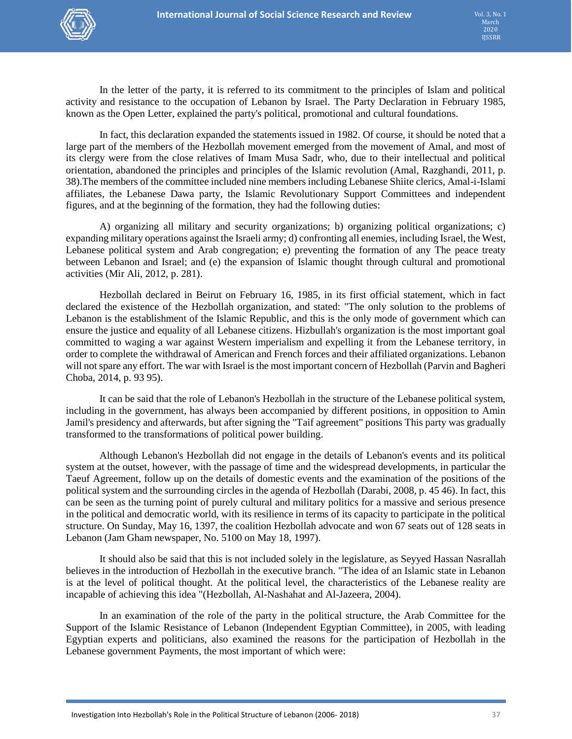

In the letter of the party, it is referred to its commitment to the principles of Islam and political activity and resistance to the occupation of Lebanon by Israel. The Party Declaration in February 1985, known as the Open Letter, explained the party's political, promotional and cultural foundations.

In fact, this declaration expanded the statements issued in 1982. Of course, it should be noted that a large part of the members of the Hezbollah movement emerged from the movement of Amal, and most of its clergy were from the close relatives of Imam Musa Sadr, who, due to their intellectual and political orientation, abandoned the principles and principles of the Islamic revolution (Amal, Razghandi, 2011, p. 38).The members of the committee included nine members including Lebanese Shiite clerics, Amal-i-Islami affiliates, the Lebanese Dawa party, the Islamic Revolutionary Support Committees and independent figures, and at the beginning of the formation, they had the following duties:

A) organizing all military and security organizations; b) organizing political organizations; c) expanding military operations against the Israeli army; d) confronting all enemies, including Israel, the West, Lebanese political system and Arab congregation; e) preventing the formation of any The peace treaty between Lebanon and Israel; and (e) the expansion of Islamic thought through cultural and promotional activities (Mir Ali, 2012, p. 281).

Hezbollah declared in Beirut on February 16, 1985, in its first official statement, which in fact declared the existence of the Hezbollah organization, and stated: "The only solution to the problems of Lebanon is the establishment of the Islamic Republic, and this is the only mode of government which can ensure the justice and equality of all Lebanese citizens. Hizbullah's organization is the most important goal committed to waging a war against Western imperialism and expelling it from the Lebanese territory, in order to complete the withdrawal of American and French forces and their affiliated organizations. Lebanon will not spare any effort. The war with Israel is the most important concern of Hezbollah (Parvin and Bagheri Choba, 2014, p. 93 95).

It can be said that the role of Lebanon's Hezbollah in the structure of the Lebanese political system, including in the government, has always been accompanied by different positions, in opposition to Amin Jamil's presidency and afterwards, but after signing the "Taif agreement" positions This party was gradually transformed to the transformations of political power building.

Although Lebanon's Hezbollah did not engage in the details of Lebanon's events and its political system at the outset, however, with the passage of time and the widespread developments, in particular the Taeuf Agreement, follow up on the details of domestic events and the examination of the positions of the political system and the surrounding circles in the agenda of Hezbollah (Darabi, 2008, p. 45 46). In fact, this can be seen as the turning point of purely cultural and military politics for a massive and serious presence in the political and democratic world, with its resilience in terms of its capacity to participate in the political structure. On Sunday, May 16, 1397, the coalition Hezbollah advocate and won 67 seats out of 128 seats in Lebanon (Jam Gham newspaper, No. 5100 on May 18, 1997).

It should also be said that this is not included solely in the legislature, as Seyyed Hassan Nasrallah believes in the introduction of Hezbollah in the executive branch. "The idea of an Islamic state in Lebanon is at the level of political thought. At the political level, the characteristics of the Lebanese reality are incapable of achieving this idea "(Hezbollah, Al-Nashahat and Al-Jazeera, 2004).

In an examination of the role of the party in the political structure, the Arab Committee for the Support of the Islamic Resistance of Lebanon (Independent Egyptian Committee), in 2005, with leading Egyptian experts and politicians, also examined the reasons for the participation of Hezbollah in the Lebanese government Payments, the most important of which were: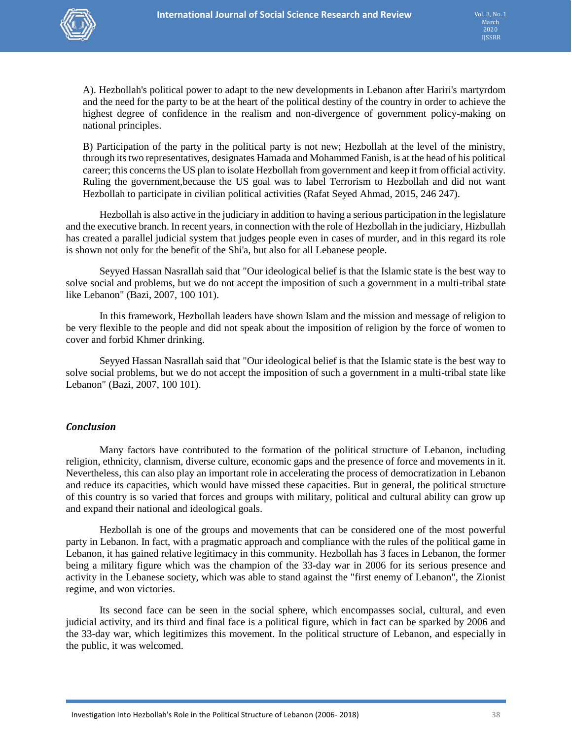

A). Hezbollah's political power to adapt to the new developments in Lebanon after Hariri's martyrdom and the need for the party to be at the heart of the political destiny of the country in order to achieve the highest degree of confidence in the realism and non-divergence of government policy-making on national principles.

B) Participation of the party in the political party is not new; Hezbollah at the level of the ministry, through its two representatives, designates Hamada and Mohammed Fanish, is at the head of his political career; this concerns the US plan to isolate Hezbollah from government and keep it from official activity. Ruling the government,because the US goal was to label Terrorism to Hezbollah and did not want Hezbollah to participate in civilian political activities (Rafat Seyed Ahmad, 2015, 246 247).

Hezbollah is also active in the judiciary in addition to having a serious participation in the legislature and the executive branch. In recent years, in connection with the role of Hezbollah in the judiciary, Hizbullah has created a parallel judicial system that judges people even in cases of murder, and in this regard its role is shown not only for the benefit of the Shi'a, but also for all Lebanese people.

Seyyed Hassan Nasrallah said that "Our ideological belief is that the Islamic state is the best way to solve social and problems, but we do not accept the imposition of such a government in a multi-tribal state like Lebanon" (Bazi, 2007, 100 101).

In this framework, Hezbollah leaders have shown Islam and the mission and message of religion to be very flexible to the people and did not speak about the imposition of religion by the force of women to cover and forbid Khmer drinking.

Seyyed Hassan Nasrallah said that "Our ideological belief is that the Islamic state is the best way to solve social problems, but we do not accept the imposition of such a government in a multi-tribal state like Lebanon" (Bazi, 2007, 100 101).

### *Conclusion*

Many factors have contributed to the formation of the political structure of Lebanon, including religion, ethnicity, clannism, diverse culture, economic gaps and the presence of force and movements in it. Nevertheless, this can also play an important role in accelerating the process of democratization in Lebanon and reduce its capacities, which would have missed these capacities. But in general, the political structure of this country is so varied that forces and groups with military, political and cultural ability can grow up and expand their national and ideological goals.

Hezbollah is one of the groups and movements that can be considered one of the most powerful party in Lebanon. In fact, with a pragmatic approach and compliance with the rules of the political game in Lebanon, it has gained relative legitimacy in this community. Hezbollah has 3 faces in Lebanon, the former being a military figure which was the champion of the 33-day war in 2006 for its serious presence and activity in the Lebanese society, which was able to stand against the "first enemy of Lebanon", the Zionist regime, and won victories.

Its second face can be seen in the social sphere, which encompasses social, cultural, and even judicial activity, and its third and final face is a political figure, which in fact can be sparked by 2006 and the 33-day war, which legitimizes this movement. In the political structure of Lebanon, and especially in the public, it was welcomed.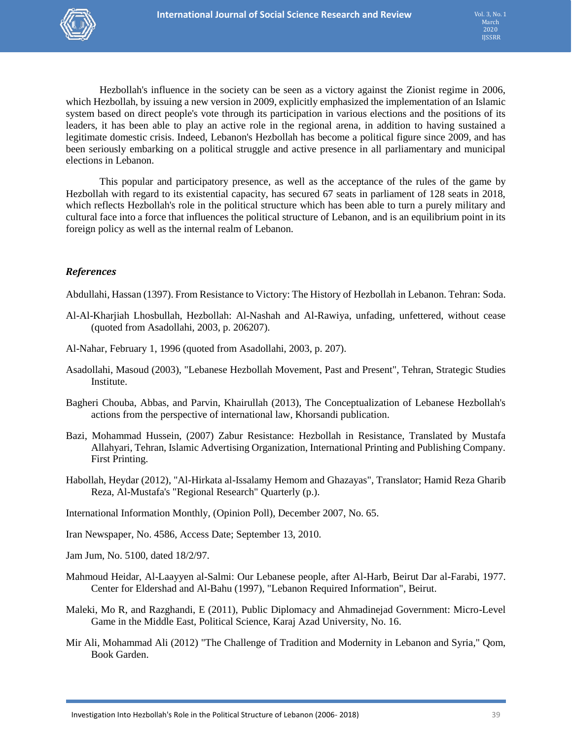

Hezbollah's influence in the society can be seen as a victory against the Zionist regime in 2006, which Hezbollah, by issuing a new version in 2009, explicitly emphasized the implementation of an Islamic system based on direct people's vote through its participation in various elections and the positions of its leaders, it has been able to play an active role in the regional arena, in addition to having sustained a legitimate domestic crisis. Indeed, Lebanon's Hezbollah has become a political figure since 2009, and has been seriously embarking on a political struggle and active presence in all parliamentary and municipal elections in Lebanon.

This popular and participatory presence, as well as the acceptance of the rules of the game by Hezbollah with regard to its existential capacity, has secured 67 seats in parliament of 128 seats in 2018, which reflects Hezbollah's role in the political structure which has been able to turn a purely military and cultural face into a force that influences the political structure of Lebanon, and is an equilibrium point in its foreign policy as well as the internal realm of Lebanon.

### *References*

Abdullahi, Hassan (1397). From Resistance to Victory: The History of Hezbollah in Lebanon. Tehran: Soda.

- Al-Al-Kharjiah Lhosbullah, Hezbollah: Al-Nashah and Al-Rawiya, unfading, unfettered, without cease (quoted from Asadollahi, 2003, p. 206207).
- Al-Nahar, February 1, 1996 (quoted from Asadollahi, 2003, p. 207).
- Asadollahi, Masoud (2003), "Lebanese Hezbollah Movement, Past and Present", Tehran, Strategic Studies Institute.
- Bagheri Chouba, Abbas, and Parvin, Khairullah (2013), The Conceptualization of Lebanese Hezbollah's actions from the perspective of international law, Khorsandi publication.
- Bazi, Mohammad Hussein, (2007) Zabur Resistance: Hezbollah in Resistance, Translated by Mustafa Allahyari, Tehran, Islamic Advertising Organization, International Printing and Publishing Company. First Printing.
- Habollah, Heydar (2012), "Al-Hirkata al-Issalamy Hemom and Ghazayas", Translator; Hamid Reza Gharib Reza, Al-Mustafa's "Regional Research" Quarterly (p.).

International Information Monthly, (Opinion Poll), December 2007, No. 65.

Iran Newspaper, No. 4586, Access Date; September 13, 2010.

Jam Jum, No. 5100, dated 18/2/97.

- Mahmoud Heidar, Al-Laayyen al-Salmi: Our Lebanese people, after Al-Harb, Beirut Dar al-Farabi, 1977. Center for Eldershad and Al-Bahu (1997), "Lebanon Required Information", Beirut.
- Maleki, Mo R, and Razghandi, E (2011), Public Diplomacy and Ahmadinejad Government: Micro-Level Game in the Middle East, Political Science, Karaj Azad University, No. 16.
- Mir Ali, Mohammad Ali (2012) "The Challenge of Tradition and Modernity in Lebanon and Syria," Qom, Book Garden.